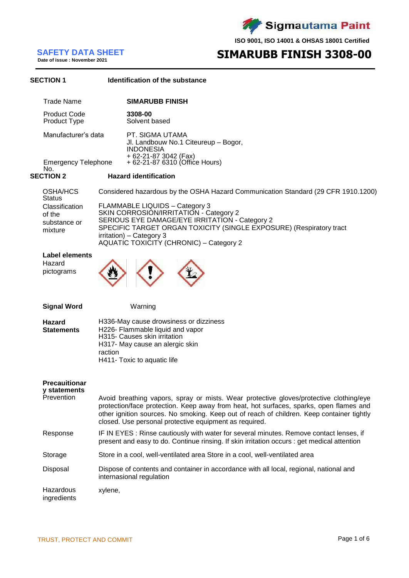Sigmautama Paint

**ISO 9001, ISO 14001 & OHSAS 18001 Certified**

## **Date of issue : November <sup>2021</sup> SIMARUBB FINISH 3308-00**

**SAFETY DATA SHEET**<br>Date of issue : November 2021

### **SECTION 1 Identification of the substance** Trade Name **SIMARUBB FINISH** Product Code **3308-00** Product Type Manufacturer's data PT. SIGMA UTAMA Jl. Landbouw No.1 Citeureup – Bogor, INDONESIA + 62-21-87 3042 (Fax) Emergency Telephone No.<br>SECTION 2 + 62-21-87 6310 (Office Hours) **SECTION 2 Hazard identification** OSHA/HCS **Status** Considered hazardous by the OSHA Hazard Communication Standard (29 CFR 1910.1200) Classification of the substance or mixture FLAMMABLE LIQUIDS – Category 3 SKIN CORROSION/IRRITATION - Category 2 SERIOUS EYE DAMAGE/EYE IRRITATION - Category 2 SPECIFIC TARGET ORGAN TOXICITY (SINGLE EXPOSURE) (Respiratory tract irritation) – Category 3 AQUATIC TOXICITY (CHRONIC) – Category 2 **Label elements** Hazard pictograms **Signal Word Hazard Statements** Warning H336-May cause drowsiness or dizziness H226- Flammable liquid and vapor H315- Causes skin irritation H317- May cause an alergic skin raction H411- Toxic to aquatic life **Precauitionar y statements** Avoid breathing vapors, spray or mists. Wear protective gloves/protective clothing/eye protection/face protection. Keep away from heat, hot surfaces, sparks, open flames and other ignition sources. No smoking. Keep out of reach of children. Keep container tightly closed. Use personal protective equipment as required. Response **IF IN EYES : Rinse cautiously with water for several minutes. Remove contact lenses, if** present and easy to do. Continue rinsing. If skin irritation occurs : get medical attention Storage Store in a cool, well-ventilated area Store in a cool, well-ventilated area Disposal Dispose of contents and container in accordance with all local, regional, national and internasional regulation Hazardous ingredients xylene,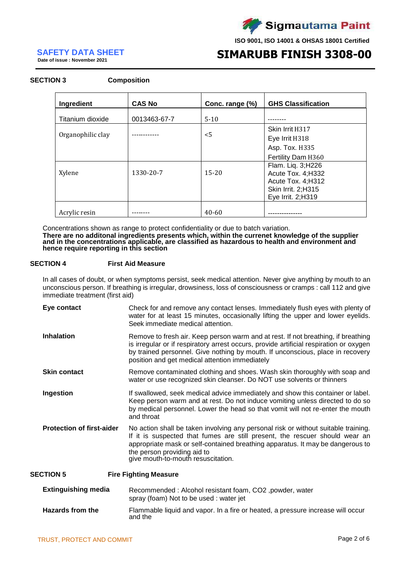

## **Date of issue : November <sup>2021</sup> SIMARUBB FINISH 3308-00**

**SAFETY DATA SHEET**<br>Date of issue : November 2021

# **SECTION 3 Composition**

| Ingredient        | <b>CAS No</b> | Conc. range (%) | <b>GHS Classification</b>                                     |
|-------------------|---------------|-----------------|---------------------------------------------------------------|
| Titanium dioxide  | 0013463-67-7  | $5-10$          |                                                               |
|                   |               |                 | Skin Irrit H317                                               |
| Organophilic clay |               | $5$             | Eye Irrit H318                                                |
|                   |               |                 | Asp. Tox. H335                                                |
|                   |               |                 | Fertility Dam H360                                            |
| Xylene            | 1330-20-7     | $15 - 20$       | Flam. Liq. 3; H226<br>Acute Tox. 4; H332                      |
|                   |               |                 | Acute Tox. 4; H312<br>Skin Irrit. 2;H315<br>Eye Irrit. 2;H319 |
| Acrylic resin     |               | $40 - 60$       |                                                               |

Concentrations shown as range to protect confidentiality or due to batch variation. **There are no additonal ingredients presents which, within the currenet knowledge of the supplier and in the concentrations applicable, are classified as hazardous to health and environment and hence require reporting in this section**

### **SECTION 4 First Aid Measure**

In all cases of doubt, or when symptoms persist, seek medical attention. Never give anything by mouth to an unconscious person. If breathing is irregular, drowsiness, loss of consciousness or cramps : call 112 and give immediate treatment (first aid)

| Eye contact                      | Check for and remove any contact lenses. Immediately flush eyes with plenty of<br>water for at least 15 minutes, occasionally lifting the upper and lower eyelids.<br>Seek immediate medical attention.                                                                                                                  |
|----------------------------------|--------------------------------------------------------------------------------------------------------------------------------------------------------------------------------------------------------------------------------------------------------------------------------------------------------------------------|
| <b>Inhalation</b>                | Remove to fresh air. Keep person warm and at rest. If not breathing, if breathing<br>is irregular or if respiratory arrest occurs, provide artificial respiration or oxygen<br>by trained personnel. Give nothing by mouth. If unconscious, place in recovery<br>position and get medical attention immediately          |
| <b>Skin contact</b>              | Remove contaminated clothing and shoes. Wash skin thoroughly with soap and<br>water or use recognized skin cleanser. Do NOT use solvents or thinners                                                                                                                                                                     |
| Ingestion                        | If swallowed, seek medical advice immediately and show this container or label.<br>Keep person warm and at rest. Do not induce vomiting unless directed to do so<br>by medical personnel. Lower the head so that vomit will not re-enter the mouth<br>and throat                                                         |
| <b>Protection of first-aider</b> | No action shall be taken involving any personal risk or without suitable training.<br>If it is suspected that fumes are still present, the rescuer should wear an<br>appropriate mask or self-contained breathing apparatus. It may be dangerous to<br>the person providing aid to<br>give mouth-to-mouth resuscitation. |
| <b>SECTION 5</b>                 | <b>Fire Fighting Measure</b>                                                                                                                                                                                                                                                                                             |

| <b>Extinguishing media</b> | Recommended: Alcohol resistant foam, CO2, powder, water<br>spray (foam) Not to be used : water jet |
|----------------------------|----------------------------------------------------------------------------------------------------|
| <b>Hazards from the</b>    | Flammable liquid and vapor. In a fire or heated, a pressure increase will occur<br>and the         |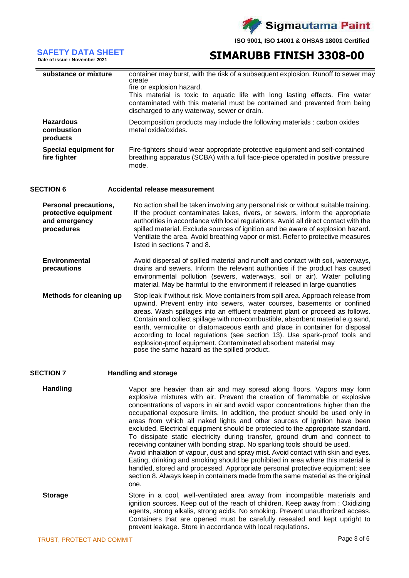

## **Date of issue : November 2021 SIMARUBB FINISH 3308-00**

**SAFETY DATA SHEET**<br>Date of issue : November 2021

| substance or mixture                                                                | container may burst, with the risk of a subsequent explosion. Runoff to sewer may<br>create<br>fire or explosion hazard.<br>This material is toxic to aquatic life with long lasting effects. Fire water<br>contaminated with this material must be contained and prevented from being<br>discharged to any waterway, sewer or drain.                                                                                                                                                                                                                                                                            |
|-------------------------------------------------------------------------------------|------------------------------------------------------------------------------------------------------------------------------------------------------------------------------------------------------------------------------------------------------------------------------------------------------------------------------------------------------------------------------------------------------------------------------------------------------------------------------------------------------------------------------------------------------------------------------------------------------------------|
| <b>Hazardous</b><br>combustion<br>products                                          | Decomposition products may include the following materials : carbon oxides<br>metal oxide/oxides.                                                                                                                                                                                                                                                                                                                                                                                                                                                                                                                |
| <b>Special equipment for</b><br>fire fighter                                        | Fire-fighters should wear appropriate protective equipment and self-contained<br>breathing apparatus (SCBA) with a full face-piece operated in positive pressure<br>mode.                                                                                                                                                                                                                                                                                                                                                                                                                                        |
| <b>SECTION 6</b>                                                                    | Accidental release measurement                                                                                                                                                                                                                                                                                                                                                                                                                                                                                                                                                                                   |
| <b>Personal precautions,</b><br>protective equipment<br>and emergency<br>procedures | No action shall be taken involving any personal risk or without suitable training.<br>If the product contaminates lakes, rivers, or sewers, inform the appropriate<br>authorities in accordance with local regulations. Avoid all direct contact with the<br>spilled material. Exclude sources of ignition and be aware of explosion hazard.<br>Ventilate the area. Avoid breathing vapor or mist. Refer to protective measures<br>listed in sections 7 and 8.                                                                                                                                                   |
| <b>Environmental</b><br>precautions                                                 | Avoid dispersal of spilled material and runoff and contact with soil, waterways,<br>drains and sewers. Inform the relevant authorities if the product has caused<br>environmental pollution (sewers, waterways, soil or air). Water polluting<br>material. May be harmful to the environment if released in large quantities                                                                                                                                                                                                                                                                                     |
| <b>Methods for cleaning up</b>                                                      | Stop leak if without risk. Move containers from spill area. Approach release from<br>upwind. Prevent entry into sewers, water courses, basements or confined<br>areas. Wash spillages into an effluent treatment plant or proceed as follows.<br>Contain and collect spillage with non-combustible, absorbent material e.g.sand,<br>earth, vermiculite or diatomaceous earth and place in container for disposal<br>according to local regulations (see section 13). Use spark-proof tools and<br>explosion-proof equipment. Contaminated absorbent material may<br>pose the same hazard as the spilled product. |
| ^~^ <del>~</del> !^*! ~                                                             |                                                                                                                                                                                                                                                                                                                                                                                                                                                                                                                                                                                                                  |

### **SECTION 7 Handling and storage**

Handling **Handling** Vapor are heavier than air and may spread along floors. Vapors may form explosive mixtures with air. Prevent the creation of flammable or explosive concentrations of vapors in air and avoid vapor concentrations higher than the occupational exposure limits. In addition, the product should be used only in areas from which all naked lights and other sources of ignition have been excluded. Electrical equipment should be protected to the appropriate standard. To dissipate static electricity during transfer, ground drum and connect to receiving container with bonding strap. No sparking tools should be used. Avoid inhalation of vapour, dust and spray mist. Avoid contact with skin and eyes. Eating, drinking and smoking should be prohibited in area where this material is handled, stored and processed. Appropriate personal protective equipment: see section 8. Always keep in containers made from the same material as the original one. **Storage** Store in a cool, well-ventilated area away from incompatible materials and ignition sources. Keep out of the reach of children. Keep away from : Oxidizing agents, strong alkalis, strong acids. No smoking. Prevent unauthorized access. Containers that are opened must be carefully resealed and kept upright to

prevent leakage. Store in accordance with local requlations.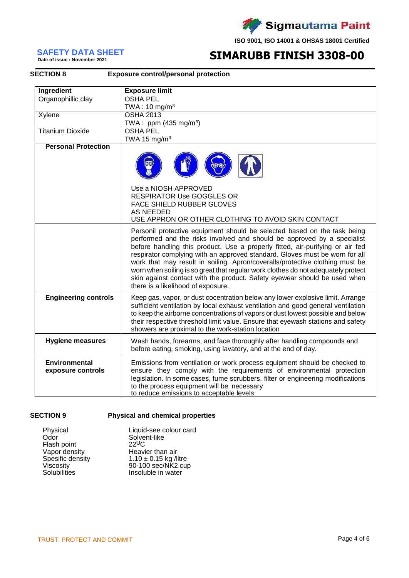

# **SAFETY DATA SHEET**<br>Date of issue : November 2021

# **SIMARUBB FINISH 3308-00**

| <b>SECTION 8</b>                          | <b>Exposure control/personal protection</b>                                                                                                                                                                                                                                                                                                                                                                                                                                                                                                                                                                 |
|-------------------------------------------|-------------------------------------------------------------------------------------------------------------------------------------------------------------------------------------------------------------------------------------------------------------------------------------------------------------------------------------------------------------------------------------------------------------------------------------------------------------------------------------------------------------------------------------------------------------------------------------------------------------|
| Ingredient                                | <b>Exposure limit</b>                                                                                                                                                                                                                                                                                                                                                                                                                                                                                                                                                                                       |
| Organophillic clay                        | <b>OSHA PEL</b>                                                                                                                                                                                                                                                                                                                                                                                                                                                                                                                                                                                             |
|                                           | TWA: $10 \text{ mg/m}^3$                                                                                                                                                                                                                                                                                                                                                                                                                                                                                                                                                                                    |
| Xylene                                    | <b>OSHA 2013</b>                                                                                                                                                                                                                                                                                                                                                                                                                                                                                                                                                                                            |
|                                           | TWA: ppm (435 mg/m <sup>3</sup> )                                                                                                                                                                                                                                                                                                                                                                                                                                                                                                                                                                           |
| <b>Titanium Dioxide</b>                   | <b>OSHA PEL</b>                                                                                                                                                                                                                                                                                                                                                                                                                                                                                                                                                                                             |
|                                           | TWA 15 mg/m <sup>3</sup>                                                                                                                                                                                                                                                                                                                                                                                                                                                                                                                                                                                    |
| <b>Personal Protection</b>                | Use a NIOSH APPROVED<br><b>RESPIRATOR Use GOGGLES OR</b><br><b>FACE SHIELD RUBBER GLOVES</b><br><b>AS NEEDED</b>                                                                                                                                                                                                                                                                                                                                                                                                                                                                                            |
|                                           | USE APPRON OR OTHER CLOTHING TO AVOID SKIN CONTACT                                                                                                                                                                                                                                                                                                                                                                                                                                                                                                                                                          |
|                                           | Personil protective equipment should be selected based on the task being<br>performed and the risks involved and should be approved by a specialist<br>before handling this product. Use a properly fitted, air-purifying or air fed<br>respirator complying with an approved standard. Gloves must be worn for all<br>work that may result in soiling. Apron/coveralls/protective clothing must be<br>worn when soiling is so great that regular work clothes do not adequately protect<br>skin against contact with the product. Safety eyewear should be used when<br>there is a likelihood of exposure. |
| <b>Engineering controls</b>               | Keep gas, vapor, or dust cocentration below any lower explosive limit. Arrange<br>sufficient ventilation by local exhaust ventilation and good general ventilation<br>to keep the airborne concentrations of vapors or dust lowest possible and below<br>their respective threshold limit value. Ensure that eyewash stations and safety<br>showers are proximal to the work-station location                                                                                                                                                                                                               |
| <b>Hygiene measures</b>                   | Wash hands, forearms, and face thoroughly after handling compounds and<br>before eating, smoking, using lavatory, and at the end of day.                                                                                                                                                                                                                                                                                                                                                                                                                                                                    |
| <b>Environmental</b><br>exposure controls | Emissions from ventilation or work process equipment should be checked to<br>ensure they comply with the requirements of environmental protection<br>legislation. In some cases, fume scrubbers, filter or engineering modifications<br>to the process equipment will be necessary<br>to reduce emissions to acceptable levels                                                                                                                                                                                                                                                                              |

### **SECTION 9 Physical and chemical properties**

| Liquid-see colour card |
|------------------------|
|                        |
|                        |
|                        |
|                        |
| 90-100 sec/NK2 cup     |
|                        |
|                        |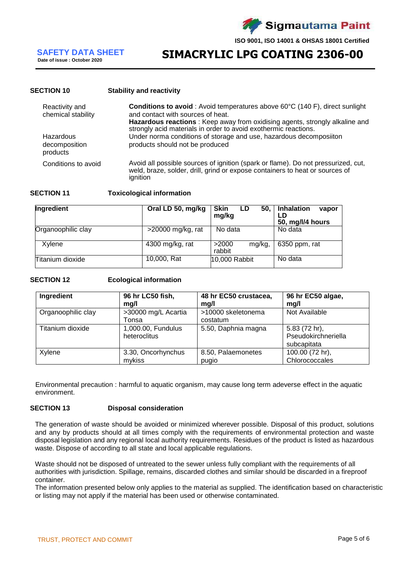

**SIMACRYLIC LPG COATING 2306-00** 

### **SECTION 10 Stability and reactivity**

| Reactivity and<br>chemical stability   | <b>Conditions to avoid</b> : Avoid temperatures above 60°C (140 F), direct sunlight<br>and contact with sources of heat.<br>Hazardous reactions : Keep away from oxidising agents, strongly alkaline and<br>strongly acid materials in order to avoid exothermic reactions. |
|----------------------------------------|-----------------------------------------------------------------------------------------------------------------------------------------------------------------------------------------------------------------------------------------------------------------------------|
| Hazardous<br>decomposition<br>products | Under norma conditions of storage and use, hazardous decomposiiton<br>products should not be produced                                                                                                                                                                       |
| Conditions to avoid                    | Avoid all possible sources of ignition (spark or flame). Do not pressurized, cut,<br>weld, braze, solder, drill, grind or expose containers to heat or sources of<br>ignition                                                                                               |

### **SECTION 11 Toxicological information**

| <b>Ingredient</b>  | Oral LD 50, mg/kg    | l Skin<br>50.<br>LD<br>mg/kg | <b>Inhalation</b><br>vapor<br>LD<br>50, mg/l/4 hours |
|--------------------|----------------------|------------------------------|------------------------------------------------------|
| Organoophilic clay | $>$ 20000 mg/kg, rat | No data                      | No data                                              |
| Xylene             | 4300 mg/kg, rat      | >2000<br>mg/kg.<br>rabbit    | $6350$ ppm, rat                                      |
| Titanium dioxide   | 10,000, Rat          | 10,000 Rabbit                | No data                                              |

### **SECTION 12 Ecological information**

| Ingredient         | 96 hr LC50 fish,                   | 48 hr EC50 crustacea,          | 96 hr EC50 algae,                                   |
|--------------------|------------------------------------|--------------------------------|-----------------------------------------------------|
|                    | mg/l                               | mg/l                           | mg/l                                                |
| Organoophilic clay | >30000 mg/L Acartia<br>Tonsa       | >10000 skeletonema<br>costatum | Not Available                                       |
| Titanium dioxide   | 1,000.00, Fundulus<br>heteroclitus | 5.50, Daphnia magna            | 5.83 (72 hr),<br>Pseudokirchneriella<br>subcapitata |
| Xylene             | 3.30, Oncorhynchus                 | 8.50, Palaemonetes             | 100.00 (72 hr),                                     |
|                    | mykiss                             | pugio                          | Chlorococcales                                      |

Environmental precaution : harmful to aquatic organism, may cause long term adeverse effect in the aquatic environment.

### **SECTION 13 Disposal consideration**

The generation of waste should be avoided or minimized wherever possible. Disposal of this product, solutions and any by products should at all times comply with the requirements of environmental protection and waste disposal legislation and any regional local authority requirements. Residues of the product is listed as hazardous waste. Dispose of according to all state and local applicable regulations.

Waste should not be disposed of untreated to the sewer unless fully compliant with the requirements of all authorities with jurisdiction. Spillage, remains, discarded clothes and similar should be discarded in a fireproof container.

The information presented below only applies to the material as supplied. The identification based on characteristic or listing may not apply if the material has been used or otherwise contaminated.